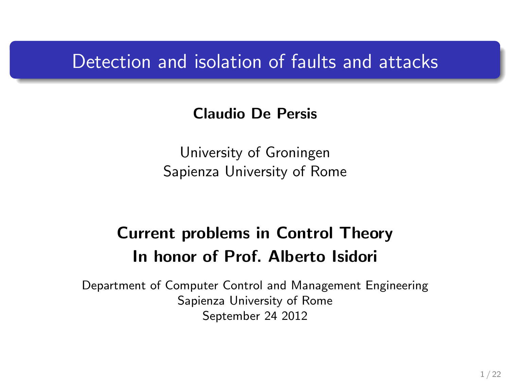### Detection and isolation of faults and attacks

#### Claudio De Persis

University of Groningen Sapienza University of Rome

### Current problems in Control Theory In honor of Prof. Alberto Isidori

Department of Computer Control and Management Engineering Sapienza University of Rome September 24 2012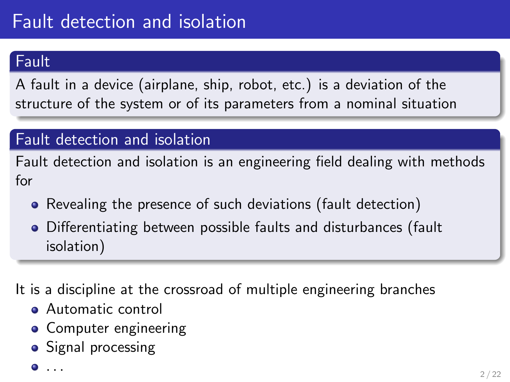### **Fault**

A fault in a device (airplane, ship, robot, etc.) is a deviation of the structure of the system or of its parameters from a nominal situation

### Fault detection and isolation

Fault detection and isolation is an engineering field dealing with methods for

- Revealing the presence of such deviations (fault detection)
- Differentiating between possible faults and disturbances (fault isolation)

It is a discipline at the crossroad of multiple engineering branches

- **Automatic control**
- Computer engineering
- Signal processing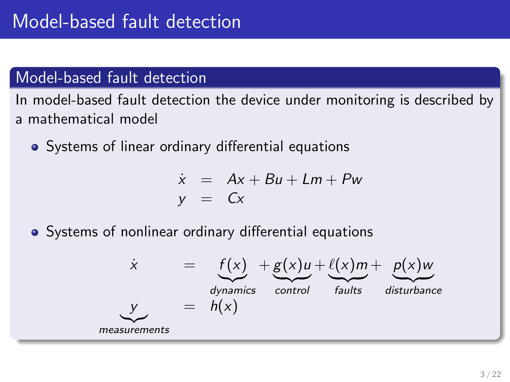### Model-based fault detection

In model-based fault detection the device under monitoring is described by a mathematical model

Systems of linear ordinary differential equations

$$
\dot{x} = Ax + Bu + Lm + Pw
$$
  

$$
y = Cx
$$

Systems of nonlinear ordinary differential equations

$$
\dot{x} = f(x) + g(x)u + \underbrace{\ell(x)m}_{\text{dynamics}} + \underbrace{p(x)w}_{\text{faults}}_{\text{faults}} + \underbrace{p(x)w}_{\text{disturbance}}
$$
\n
$$
\dot{y} = h(x)
$$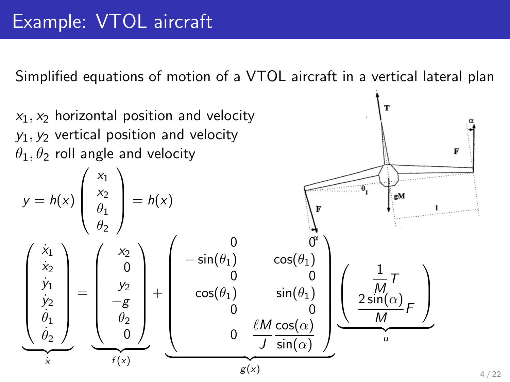Simplified equations of motion of a VTOL aircraft in a vertical lateral plan

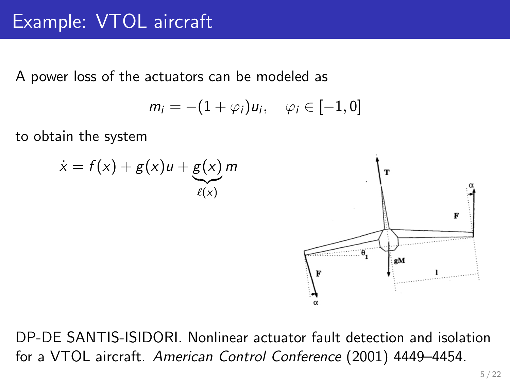A power loss of the actuators can be modeled as

$$
m_i = -(1+\varphi_i)u_i, \quad \varphi_i \in [-1,0]
$$

to obtain the system



DP-DE SANTIS-ISIDORI. Nonlinear actuator fault detection and isolation for a VTOL aircraft. American Control Conference (2001) 4449–4454.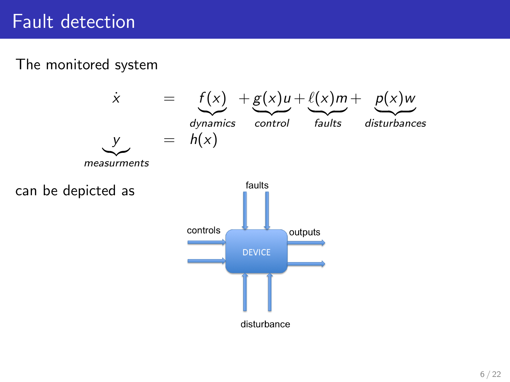#### The monitored system

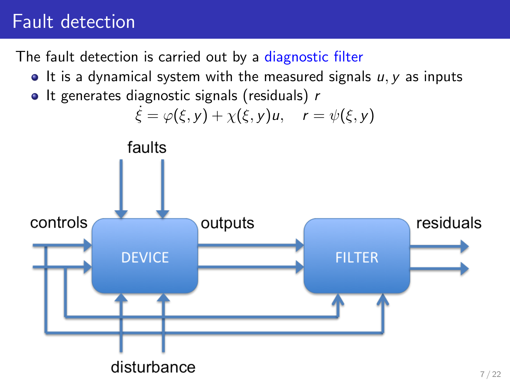The fault detection is carried out by a diagnostic filter

- $\bullet$  It is a dynamical system with the measured signals  $u, v$  as inputs
- $\bullet$  It generates diagnostic signals (residuals) r

$$
\dot{\xi} = \varphi(\xi, y) + \chi(\xi, y)u, \quad r = \psi(\xi, y)
$$

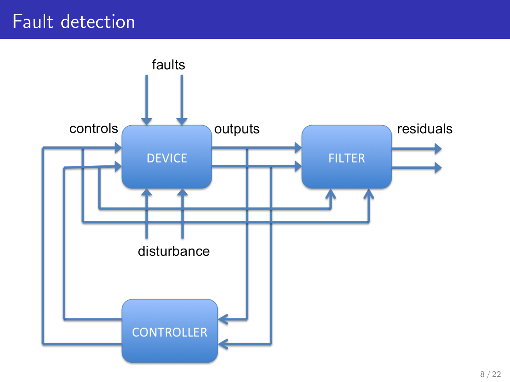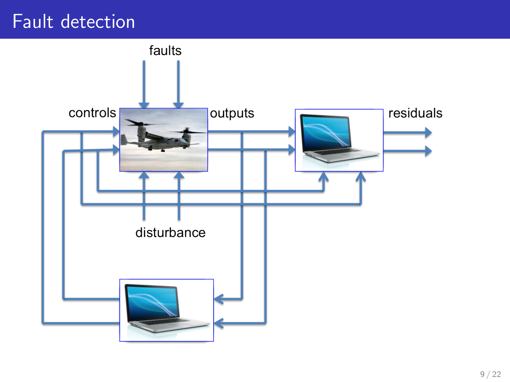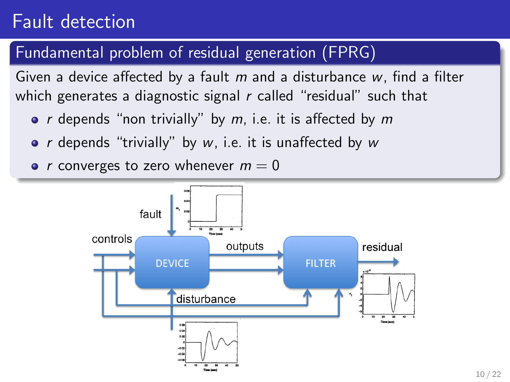#### Fundamental problem of residual generation (FPRG)

Given a device affected by a fault  $m$  and a disturbance  $w$ , find a filter which generates a diagnostic signal  $r$  called "residual" such that

- $r$  depends "non trivially" by  $m$ , i.e. it is affected by  $m$
- $r$  depends "trivially" by  $w$ , i.e. it is unaffected by  $w$

• *r* converges to zero whenever  $m = 0$ 

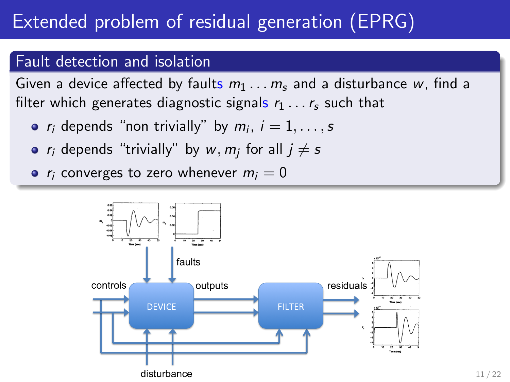# Extended problem of residual generation (EPRG)

#### Fault detection and isolation

Given a device affected by faults  $m_1 \ldots m_s$  and a disturbance w, find a filter which generates diagnostic signals  $r_1 \ldots r_s$  such that

- $r_i$  depends "non trivially" by  $m_i$ ,  $i=1,\ldots,s$
- $r_i$  depends "trivially" by  $w, m_j$  for all  $j \neq s$

•  $r_i$  converges to zero whenever  $m_i = 0$ 

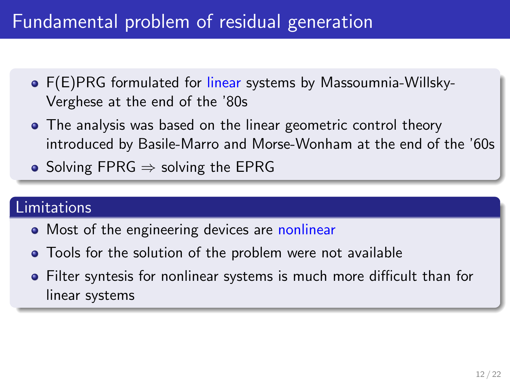### Fundamental problem of residual generation

- F(E)PRG formulated for linear systems by Massoumnia-Willsky-Verghese at the end of the '80s
- The analysis was based on the linear geometric control theory introduced by Basile-Marro and Morse-Wonham at the end of the '60s
- Solving FPRG  $\Rightarrow$  solving the EPRG

#### Limitations

- Most of the engineering devices are nonlinear
- Tools for the solution of the problem were not available
- Filter syntesis for nonlinear systems is much more difficult than for linear systems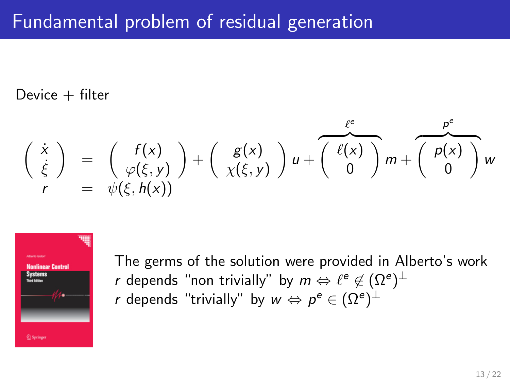### Fundamental problem of residual generation

Device  $+$  filter

$$
\begin{pmatrix}\n\dot{x} \\
\dot{\xi}\n\end{pmatrix} = \begin{pmatrix}\nf(x) \\
\varphi(\xi, y)\n\end{pmatrix} + \begin{pmatrix}\ng(x) \\
\chi(\xi, y)\n\end{pmatrix} u + \overbrace{\begin{pmatrix}\n\ell(x) \\
0\n\end{pmatrix}}^{\ell^e} m + \overbrace{\begin{pmatrix}\np(x) \\
0\n\end{pmatrix}}^{\rho^e} w
$$
\n  
\n $r = \psi(\xi, h(x))$ 



The germs of the solution were provided in Alberto's work  $r$  depends "non trivially" by  $m \Leftrightarrow \ell^e \not\in (\Omega^e)^\perp$  $r$  depends "trivially" by  $w\Leftrightarrow p^e\in (\Omega^e)^\perp$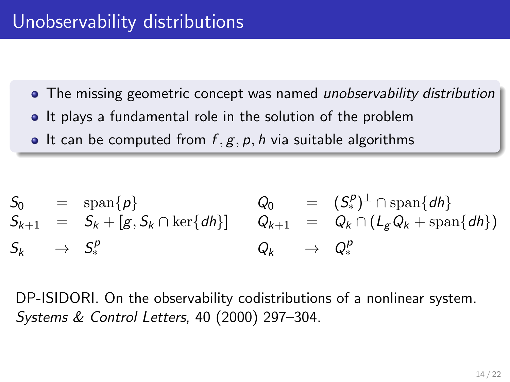- The missing geometric concept was named *unobservability distribution*
- It plays a fundamental role in the solution of the problem
- $\bullet$  It can be computed from  $f, g, p, h$  via suitable algorithms

$$
S_0 = \text{span}\{p\} \qquad Q_0 = (S_*^p)^{\perp} \cap \text{span}\{dh\} S_{k+1} = S_k + [g, S_k \cap \text{ker}\{dh\}] \qquad Q_{k+1} = Q_k \cap (L_g Q_k + \text{span}\{dh\}) S_k \rightarrow S_*^p \qquad Q_k \rightarrow Q_*^p
$$

DP-ISIDORI. On the observability codistributions of a nonlinear system. Systems & Control Letters, 40 (2000) 297–304.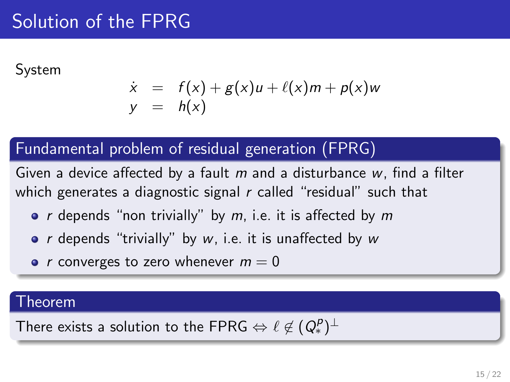# Solution of the FPRG

System

$$
\dot{x} = f(x) + g(x)u + \ell(x)m + p(x)w
$$
  
\n
$$
y = h(x)
$$

#### Fundamental problem of residual generation (FPRG)

Given a device affected by a fault  $m$  and a disturbance  $w$ , find a filter which generates a diagnostic signal  $r$  called "residual" such that

- $r$  depends "non trivially" by  $m$ , i.e. it is affected by  $m$
- $r$  depends "trivially" by  $w$ , i.e. it is unaffected by  $w$
- r converges to zero whenever  $m = 0$

#### Theorem

There exists a solution to the FPRG  $\Leftrightarrow \ell \not\in (Q_*^{\mathsf{p}})^\perp$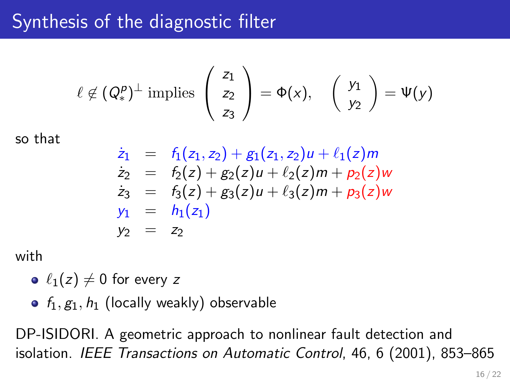# Synthesis of the diagnostic filter

$$
\ell \notin (Q_*^p)^\perp \text{ implies } \left( \begin{array}{c} z_1 \\ z_2 \\ z_3 \end{array} \right) = \Phi(x), \quad \left( \begin{array}{c} y_1 \\ y_2 \end{array} \right) = \Psi(y)
$$

so that

$$
\dot{z}_1 = f_1(z_1, z_2) + g_1(z_1, z_2)u + \ell_1(z)m \n\dot{z}_2 = f_2(z) + g_2(z)u + \ell_2(z)m + p_2(z)w \n\dot{z}_3 = f_3(z) + g_3(z)u + \ell_3(z)m + p_3(z)w \ny_1 = h_1(z_1) \ny_2 = z_2
$$

with

 $\bullet \ell_1(z) \neq 0$  for every z

•  $f_1, g_1, h_1$  (locally weakly) observable

DP-ISIDORI. A geometric approach to nonlinear fault detection and isolation. IEEE Transactions on Automatic Control, 46, 6 (2001), 853–865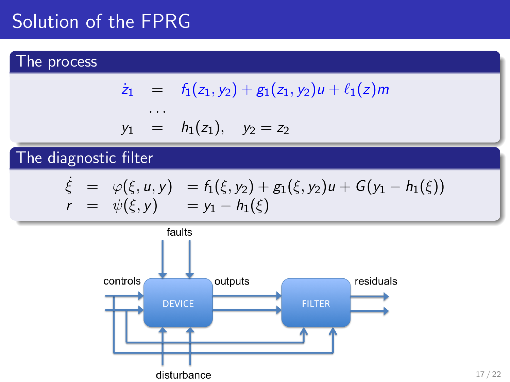# Solution of the FPRG

#### The process

$$
\dot{z}_1 = f_1(z_1, y_2) + g_1(z_1, y_2)u + \ell_1(z)m
$$

$$
y_1 = h_1(z_1), y_2 = z_2
$$

. . .

### The diagnostic filter

$$
\begin{array}{rcl}\n\dot{\xi} & = & \varphi(\xi, u, y) = f_1(\xi, y_2) + g_1(\xi, y_2)u + G(y_1 - h_1(\xi)) \\
r & = & \psi(\xi, y) = y_1 - h_1(\xi)\n\end{array}
$$

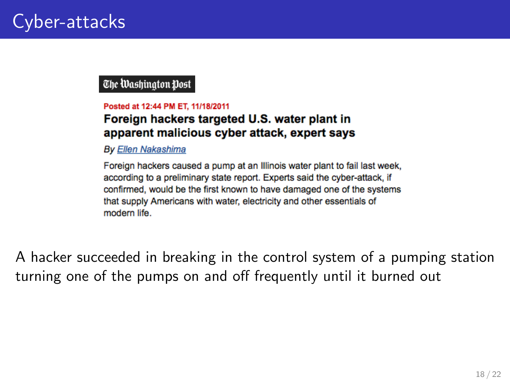The Washington Post

#### Posted at 12:44 PM ET, 11/18/2011

#### Foreign hackers targeted U.S. water plant in apparent malicious cyber attack, expert says

**By Ellen Nakashima** 

Foreign hackers caused a pump at an Illinois water plant to fail last week, according to a preliminary state report. Experts said the cyber-attack, if confirmed, would be the first known to have damaged one of the systems that supply Americans with water, electricity and other essentials of modern life.

A hacker succeeded in breaking in the control system of a pumping station turning one of the pumps on and off frequently until it burned out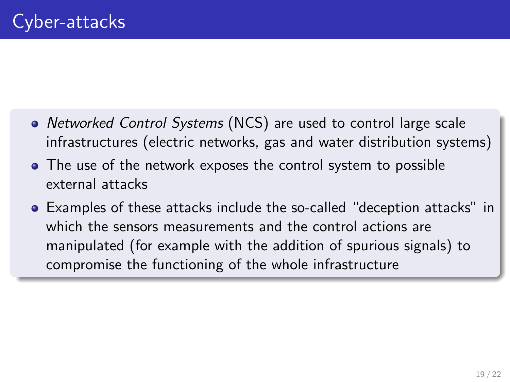- Networked Control Systems (NCS) are used to control large scale infrastructures (electric networks, gas and water distribution systems)
- The use of the network exposes the control system to possible external attacks
- Examples of these attacks include the so-called "deception attacks" in which the sensors measurements and the control actions are manipulated (for example with the addition of spurious signals) to compromise the functioning of the whole infrastructure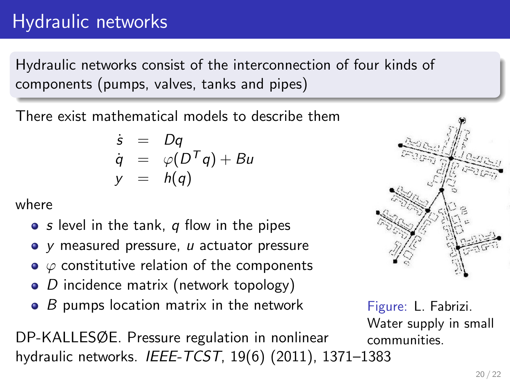# Hydraulic networks

Hydraulic networks consist of the interconnection of four kinds of components (pumps, valves, tanks and pipes)

There exist mathematical models to describe them

$$
\dot{s} = Dq
$$
  
\n
$$
\dot{q} = \varphi(D^Tq) + Bu
$$
  
\n
$$
y = h(q)
$$

where

- $\bullet$  s level in the tank, q flow in the pipes
- $\bullet$  y measured pressure,  $u$  actuator pressure
- $\bullet \varphi$  constitutive relation of the components
- $\bullet$  D incidence matrix (network topology)
- $\bullet$  B pumps location matrix in the network

DP-KALLESØE. Pressure regulation in nonlinear hydraulic networks. IEEE-TCST, 19(6) (2011), 1371–1383



Figure: L. Fabrizi. Water supply in small communities.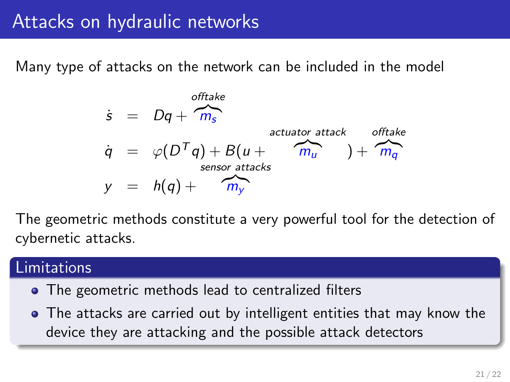### Attacks on hydraulic networks

Many type of attacks on the network can be included in the model



The geometric methods constitute a very powerful tool for the detection of cybernetic attacks.

#### Limitations

- The geometric methods lead to centralized filters
- The attacks are carried out by intelligent entities that may know the device they are attacking and the possible attack detectors